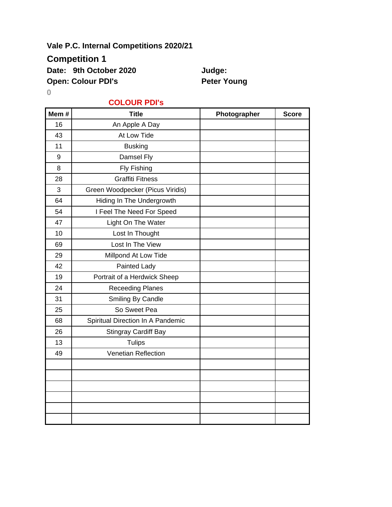### **Vale P.C. Internal Competitions 2020/21**

## **Competition 1**

Date: 9th October 2020 **Judge:** 

**Open: Colour PDI's Peter Young** 

**0**

#### **COLOUR PDI's**

| Mem# | <b>Title</b>                      | Photographer | <b>Score</b> |
|------|-----------------------------------|--------------|--------------|
| 16   | An Apple A Day                    |              |              |
| 43   | At Low Tide                       |              |              |
| 11   | <b>Busking</b>                    |              |              |
| 9    | Damsel Fly                        |              |              |
| 8    | Fly Fishing                       |              |              |
| 28   | <b>Graffiti Fitness</b>           |              |              |
| 3    | Green Woodpecker (Picus Viridis)  |              |              |
| 64   | Hiding In The Undergrowth         |              |              |
| 54   | I Feel The Need For Speed         |              |              |
| 47   | Light On The Water                |              |              |
| 10   | Lost In Thought                   |              |              |
| 69   | Lost In The View                  |              |              |
| 29   | Millpond At Low Tide              |              |              |
| 42   | Painted Lady                      |              |              |
| 19   | Portrait of a Herdwick Sheep      |              |              |
| 24   | <b>Receeding Planes</b>           |              |              |
| 31   | Smiling By Candle                 |              |              |
| 25   | So Sweet Pea                      |              |              |
| 68   | Spiritual Direction In A Pandemic |              |              |
| 26   | <b>Stingray Cardiff Bay</b>       |              |              |
| 13   | <b>Tulips</b>                     |              |              |
| 49   | <b>Venetian Reflection</b>        |              |              |
|      |                                   |              |              |
|      |                                   |              |              |
|      |                                   |              |              |
|      |                                   |              |              |
|      |                                   |              |              |
|      |                                   |              |              |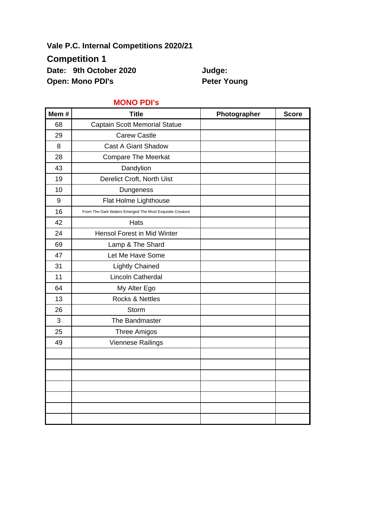**Vale P.C. Internal Competitions 2020/21**

**Competition 1**

Date: 9th October 2020 **Judge:** 

**Open: Mono PDI's Peter Young** 

| Mem#             | <b>Title</b>                                             | Photographer | <b>Score</b> |
|------------------|----------------------------------------------------------|--------------|--------------|
| 68               | <b>Captain Scott Memorial Statue</b>                     |              |              |
| 29               | <b>Carew Castle</b>                                      |              |              |
| 8                | <b>Cast A Giant Shadow</b>                               |              |              |
| 28               | <b>Compare The Meerkat</b>                               |              |              |
| 43               | Dandylion                                                |              |              |
| 19               | Derelict Croft, North Uist                               |              |              |
| 10               | Dungeness                                                |              |              |
| $\boldsymbol{9}$ | Flat Holme Lighthouse                                    |              |              |
| 16               | From The Dark Waters Emerged The Most Exquisite Creature |              |              |
| 42               | Hats                                                     |              |              |
| 24               | Hensol Forest in Mid Winter                              |              |              |
| 69               | Lamp & The Shard                                         |              |              |
| 47               | Let Me Have Some                                         |              |              |
| 31               | <b>Lightly Chained</b>                                   |              |              |
| 11               | Lincoln Catherdal                                        |              |              |
| 64               | My Alter Ego                                             |              |              |
| 13               | Rocks & Nettles                                          |              |              |
| 26               | Storm                                                    |              |              |
| 3                | The Bandmaster                                           |              |              |
| 25               | <b>Three Amigos</b>                                      |              |              |
| 49               | Viennese Railings                                        |              |              |
|                  |                                                          |              |              |
|                  |                                                          |              |              |
|                  |                                                          |              |              |
|                  |                                                          |              |              |
|                  |                                                          |              |              |
|                  |                                                          |              |              |
|                  |                                                          |              |              |

#### **MONO PDI's**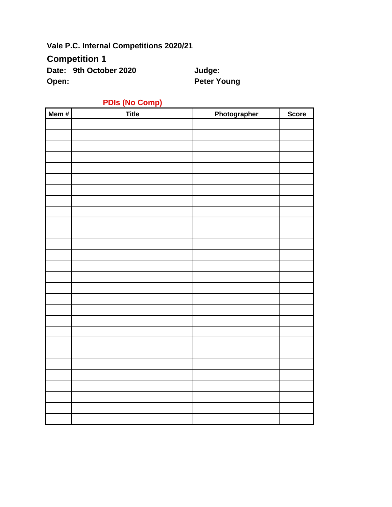**Vale P.C. Internal Competitions 2020/21**

**Competition 1**

Date: 9th October 2020 **Judge: Open:** Peter Young

| Mem# | <b>PDIS (No Comp)</b><br><b>Title</b> | Photographer | <b>Score</b> |
|------|---------------------------------------|--------------|--------------|
|      |                                       |              |              |
|      |                                       |              |              |
|      |                                       |              |              |
|      |                                       |              |              |
|      |                                       |              |              |
|      |                                       |              |              |
|      |                                       |              |              |
|      |                                       |              |              |
|      |                                       |              |              |
|      |                                       |              |              |
|      |                                       |              |              |
|      |                                       |              |              |
|      |                                       |              |              |
|      |                                       |              |              |
|      |                                       |              |              |
|      |                                       |              |              |
|      |                                       |              |              |
|      |                                       |              |              |
|      |                                       |              |              |
|      |                                       |              |              |
|      |                                       |              |              |
|      |                                       |              |              |
|      |                                       |              |              |
|      |                                       |              |              |
|      |                                       |              |              |
|      |                                       |              |              |
|      |                                       |              |              |
|      |                                       |              |              |
|      |                                       |              |              |
|      |                                       |              |              |
|      |                                       |              |              |

# **PDIs (No Comp)**